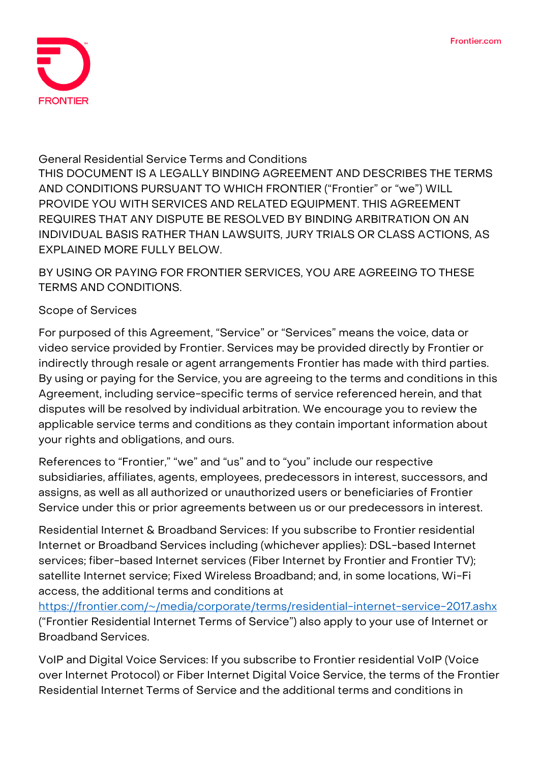

#### **General Residential Service Terms and Conditions**

**THIS DOCUMENT IS A LEGALLY BINDING AGREEMENT AND DESCRIBES THE TERMS AND CONDITIONS PURSUANT TO WHICH FRONTIER ("Frontier" or "we") WILL PROVIDE YOU WITH SERVICES AND RELATED EQUIPMENT. THIS AGREEMENT REQUIRES THAT ANY DISPUTE BE RESOLVED BY BINDING ARBITRATION ON AN INDIVIDUAL BASIS RATHER THAN LAWSUITS, JURY TRIALS OR CLASS ACTIONS, AS EXPLAINED MORE FULLY BELOW.**

**BY USING OR PAYING FOR FRONTIER SERVICES, YOU ARE AGREEING TO THESE TERMS AND CONDITIONS.**

#### **Scope of Services**

For purposed of this Agreement, "Service" or "Services" means the voice, data or video service provided by Frontier. Services may be provided directly by Frontier or indirectly through resale or agent arrangements Frontier has made with third parties. By using or paying for the Service, you are agreeing to the terms and conditions in this Agreement, including service-specific terms of service referenced herein, and that disputes will be resolved by individual arbitration. We encourage you to review the applicable service terms and conditions as they contain important information about your rights and obligations, and ours.

References to "Frontier," "we" and "us" and to "you" include our respective subsidiaries, affiliates, agents, employees, predecessors in interest, successors, and assigns, as well as all authorized or unauthorized users or beneficiaries of Frontier Service under this or prior agreements between us or our predecessors in interest.

**Residential Internet & Broadband Services:** If you subscribe to Frontier residential Internet or Broadband Services including (whichever applies): DSL-based Internet services; fiber-based Internet services (Fiber Internet by Frontier and Frontier TV); satellite Internet service; Fixed Wireless Broadband; and, in some locations, Wi-Fi access, the additional terms and conditions at

<https://frontier.com/~/media/corporate/terms/residential-internet-service-2017.ashx> ("Frontier Residential Internet Terms of Service") also apply to your use of Internet or Broadband Services.

**VoIP and Digital Voice Services:** If you subscribe to Frontier residential VoIP (Voice over Internet Protocol) or Fiber Internet Digital Voice Service, the terms of the Frontier Residential Internet Terms of Service and the additional terms and conditions in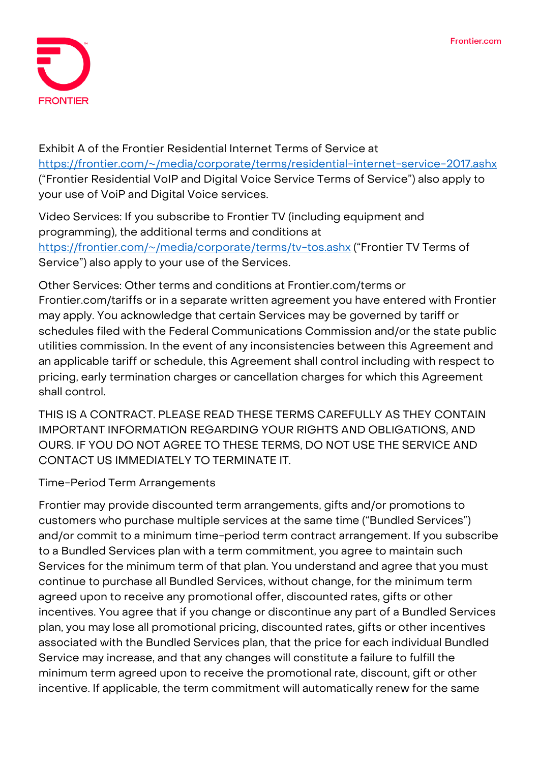

Exhibit A of the Frontier Residential Internet Terms of Service at <https://frontier.com/~/media/corporate/terms/residential-internet-service-2017.ashx> ("Frontier Residential VoIP and Digital Voice Service Terms of Service") also apply to your use of VoiP and Digital Voice services.

**Video Services:** If you subscribe to Frontier TV (including equipment and programming), the additional terms and conditions at <https://frontier.com/~/media/corporate/terms/tv-tos.ashx> ("Frontier TV Terms of Service") also apply to your use of the Services.

**Other Services:** Other terms and conditions at Frontier.com/terms or Frontier.com/tariffs or in a separate written agreement you have entered with Frontier may apply. You acknowledge that certain Services may be governed by tariff or schedules filed with the Federal Communications Commission and/or the state public utilities commission. In the event of any inconsistencies between this Agreement and an applicable tariff or schedule, this Agreement shall control including with respect to pricing, early termination charges or cancellation charges for which this Agreement shall control.

THIS IS A CONTRACT. PLEASE READ THESE TERMS CAREFULLY AS THEY CONTAIN IMPORTANT INFORMATION REGARDING YOUR RIGHTS AND OBLIGATIONS, AND OURS. IF YOU DO NOT AGREE TO THESE TERMS, DO NOT USE THE SERVICE AND CONTACT US IMMEDIATELY TO TERMINATE IT.

**Time-Period Term Arrangements**

Frontier may provide discounted term arrangements, gifts and/or promotions to customers who purchase multiple services at the same time ("Bundled Services") and/or commit to a minimum time-period term contract arrangement. If you subscribe to a Bundled Services plan with a term commitment, you agree to maintain such Services for the minimum term of that plan. You understand and agree that you must continue to purchase all Bundled Services, without change, for the minimum term agreed upon to receive any promotional offer, discounted rates, gifts or other incentives. You agree that if you change or discontinue any part of a Bundled Services plan, you may lose all promotional pricing, discounted rates, gifts or other incentives associated with the Bundled Services plan, that the price for each individual Bundled Service may increase, and that any changes will constitute a failure to fulfill the minimum term agreed upon to receive the promotional rate, discount, gift or other incentive. If applicable, the term commitment will automatically renew for the same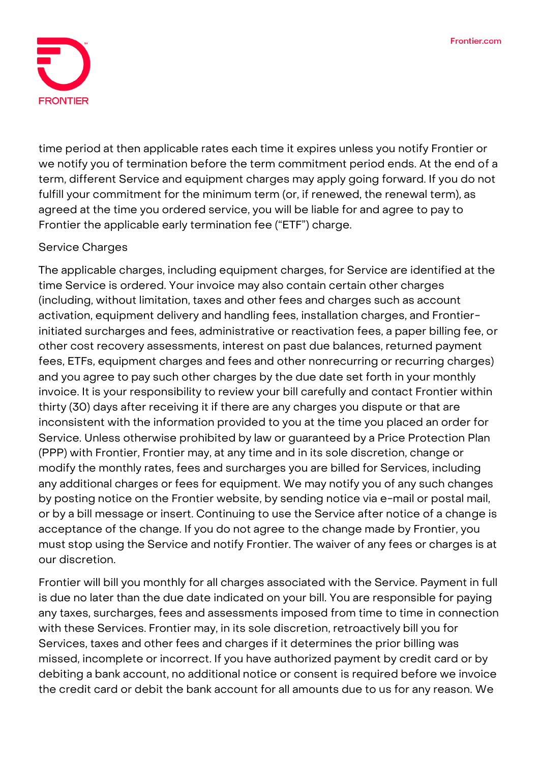

time period at then applicable rates each time it expires unless you notify Frontier or we notify you of termination before the term commitment period ends. At the end of a term, different Service and equipment charges may apply going forward. If you do not fulfill your commitment for the minimum term (or, if renewed, the renewal term), as agreed at the time you ordered service, you will be liable for and agree to pay to Frontier the applicable early termination fee ("ETF") charge.

#### **Service Charges**

The applicable charges, including equipment charges, for Service are identified at the time Service is ordered. Your invoice may also contain certain other charges (including, without limitation, taxes and other fees and charges such as account activation, equipment delivery and handling fees, installation charges, and Frontierinitiated surcharges and fees, administrative or reactivation fees, a paper billing fee, or other cost recovery assessments, interest on past due balances, returned payment fees, ETFs, equipment charges and fees and other nonrecurring or recurring charges) and you agree to pay such other charges by the due date set forth in your monthly invoice. It is your responsibility to review your bill carefully and contact Frontier within thirty (30) days after receiving it if there are any charges you dispute or that are inconsistent with the information provided to you at the time you placed an order for Service. Unless otherwise prohibited by law or guaranteed by a Price Protection Plan (PPP) with Frontier, Frontier may, at any time and in its sole discretion, change or modify the monthly rates, fees and surcharges you are billed for Services, including any additional charges or fees for equipment. We may notify you of any such changes by posting notice on the Frontier website, by sending notice via e-mail or postal mail, or by a bill message or insert. Continuing to use the Service after notice of a change is acceptance of the change. If you do not agree to the change made by Frontier, you must stop using the Service and notify Frontier. The waiver of any fees or charges is at our discretion.

Frontier will bill you monthly for all charges associated with the Service. Payment in full is due no later than the due date indicated on your bill. You are responsible for paying any taxes, surcharges, fees and assessments imposed from time to time in connection with these Services. Frontier may, in its sole discretion, retroactively bill you for Services, taxes and other fees and charges if it determines the prior billing was missed, incomplete or incorrect. If you have authorized payment by credit card or by debiting a bank account, no additional notice or consent is required before we invoice the credit card or debit the bank account for all amounts due to us for any reason. We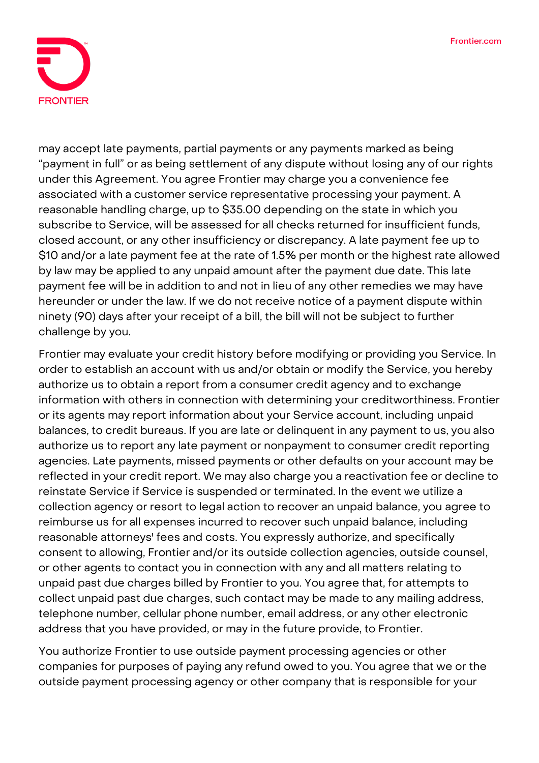

may accept late payments, partial payments or any payments marked as being "payment in full" or as being settlement of any dispute without losing any of our rights under this Agreement. You agree Frontier may charge you a convenience fee associated with a customer service representative processing your payment. A reasonable handling charge, up to \$35.00 depending on the state in which you subscribe to Service, will be assessed for all checks returned for insufficient funds, closed account, or any other insufficiency or discrepancy. A late payment fee up to \$10 and/or a late payment fee at the rate of 1.5% per month or the highest rate allowed by law may be applied to any unpaid amount after the payment due date. This late payment fee will be in addition to and not in lieu of any other remedies we may have hereunder or under the law. If we do not receive notice of a payment dispute within ninety (90) days after your receipt of a bill, the bill will not be subject to further challenge by you.

Frontier may evaluate your credit history before modifying or providing you Service. In order to establish an account with us and/or obtain or modify the Service, you hereby authorize us to obtain a report from a consumer credit agency and to exchange information with others in connection with determining your creditworthiness. Frontier or its agents may report information about your Service account, including unpaid balances, to credit bureaus. If you are late or delinquent in any payment to us, you also authorize us to report any late payment or nonpayment to consumer credit reporting agencies. Late payments, missed payments or other defaults on your account may be reflected in your credit report. We may also charge you a reactivation fee or decline to reinstate Service if Service is suspended or terminated. In the event we utilize a collection agency or resort to legal action to recover an unpaid balance, you agree to reimburse us for all expenses incurred to recover such unpaid balance, including reasonable attorneys' fees and costs. You expressly authorize, and specifically consent to allowing, Frontier and/or its outside collection agencies, outside counsel, or other agents to contact you in connection with any and all matters relating to unpaid past due charges billed by Frontier to you. You agree that, for attempts to collect unpaid past due charges, such contact may be made to any mailing address, telephone number, cellular phone number, email address, or any other electronic address that you have provided, or may in the future provide, to Frontier.

You authorize Frontier to use outside payment processing agencies or other companies for purposes of paying any refund owed to you. You agree that we or the outside payment processing agency or other company that is responsible for your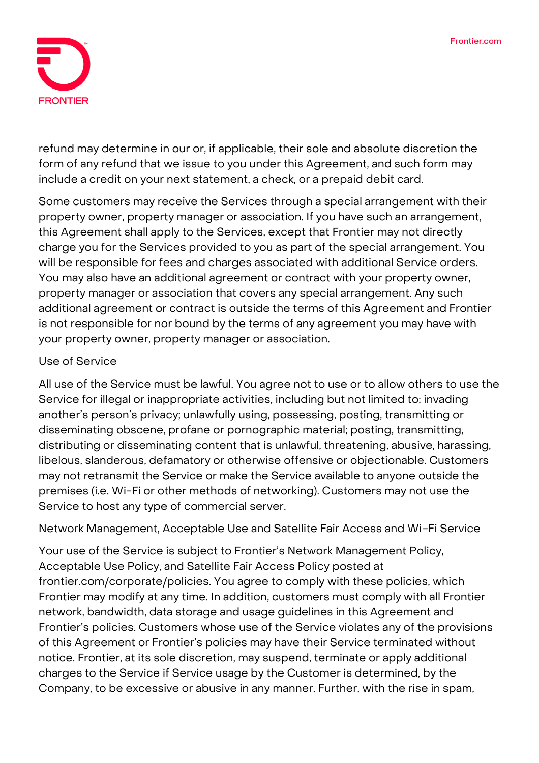

refund may determine in our or, if applicable, their sole and absolute discretion the form of any refund that we issue to you under this Agreement, and such form may include a credit on your next statement, a check, or a prepaid debit card.

Some customers may receive the Services through a special arrangement with their property owner, property manager or association. If you have such an arrangement, this Agreement shall apply to the Services, except that Frontier may not directly charge you for the Services provided to you as part of the special arrangement. You will be responsible for fees and charges associated with additional Service orders. You may also have an additional agreement or contract with your property owner, property manager or association that covers any special arrangement. Any such additional agreement or contract is outside the terms of this Agreement and Frontier is not responsible for nor bound by the terms of any agreement you may have with your property owner, property manager or association.

#### **Use of Service**

All use of the Service must be lawful. You agree not to use or to allow others to use the Service for illegal or inappropriate activities, including but not limited to: invading another's person's privacy; unlawfully using, possessing, posting, transmitting or disseminating obscene, profane or pornographic material; posting, transmitting, distributing or disseminating content that is unlawful, threatening, abusive, harassing, libelous, slanderous, defamatory or otherwise offensive or objectionable. Customers may not retransmit the Service or make the Service available to anyone outside the premises (i.e. Wi-Fi or other methods of networking). Customers may not use the Service to host any type of commercial server.

**Network Management, Acceptable Use and Satellite Fair Access and Wi-Fi Service**

Your use of the Service is subject to Frontier's Network Management Policy, Acceptable Use Policy, and Satellite Fair Access Policy posted at frontier.com/corporate/policies. You agree to comply with these policies, which Frontier may modify at any time. In addition, customers must comply with all Frontier network, bandwidth, data storage and usage guidelines in this Agreement and Frontier's policies. Customers whose use of the Service violates any of the provisions of this Agreement or Frontier's policies may have their Service terminated without notice. Frontier, at its sole discretion, may suspend, terminate or apply additional charges to the Service if Service usage by the Customer is determined, by the Company, to be excessive or abusive in any manner. Further, with the rise in spam,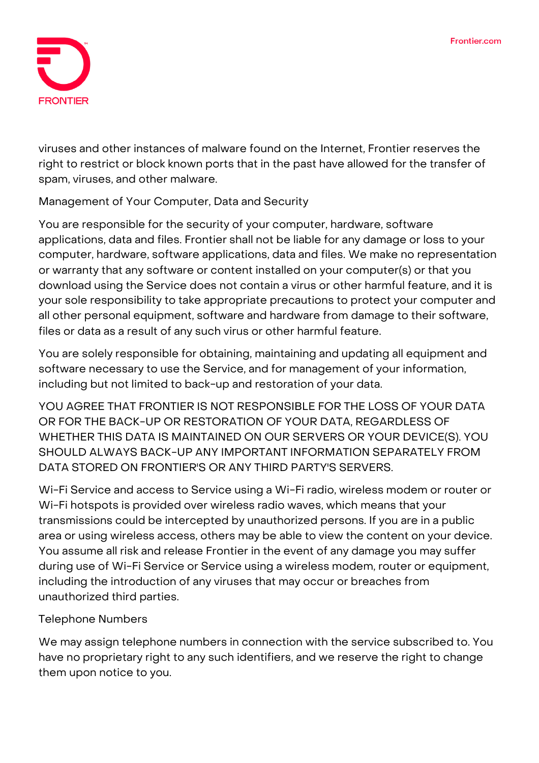

viruses and other instances of malware found on the Internet, Frontier reserves the right to restrict or block known ports that in the past have allowed for the transfer of spam, viruses, and other malware.

## **Management of Your Computer, Data and Security**

You are responsible for the security of your computer, hardware, software applications, data and files. Frontier shall not be liable for any damage or loss to your computer, hardware, software applications, data and files. We make no representation or warranty that any software or content installed on your computer(s) or that you download using the Service does not contain a virus or other harmful feature, and it is your sole responsibility to take appropriate precautions to protect your computer and all other personal equipment, software and hardware from damage to their software, files or data as a result of any such virus or other harmful feature.

You are solely responsible for obtaining, maintaining and updating all equipment and software necessary to use the Service, and for management of your information, including but not limited to back-up and restoration of your data.

**YOU AGREE THAT FRONTIER IS NOT RESPONSIBLE FOR THE LOSS OF YOUR DATA OR FOR THE BACK-UP OR RESTORATION OF YOUR DATA, REGARDLESS OF WHETHER THIS DATA IS MAINTAINED ON OUR SERVERS OR YOUR DEVICE(S). YOU SHOULD ALWAYS BACK-UP ANY IMPORTANT INFORMATION SEPARATELY FROM DATA STORED ON FRONTIER'S OR ANY THIRD PARTY'S SERVERS.**

Wi-Fi Service and access to Service using a Wi-Fi radio, wireless modem or router or Wi-Fi hotspots is provided over wireless radio waves, which means that your transmissions could be intercepted by unauthorized persons. If you are in a public area or using wireless access, others may be able to view the content on your device. You assume all risk and release Frontier in the event of any damage you may suffer during use of Wi-Fi Service or Service using a wireless modem, router or equipment, including the introduction of any viruses that may occur or breaches from unauthorized third parties.

## **Telephone Numbers**

We may assign telephone numbers in connection with the service subscribed to. You have no proprietary right to any such identifiers, and we reserve the right to change them upon notice to you.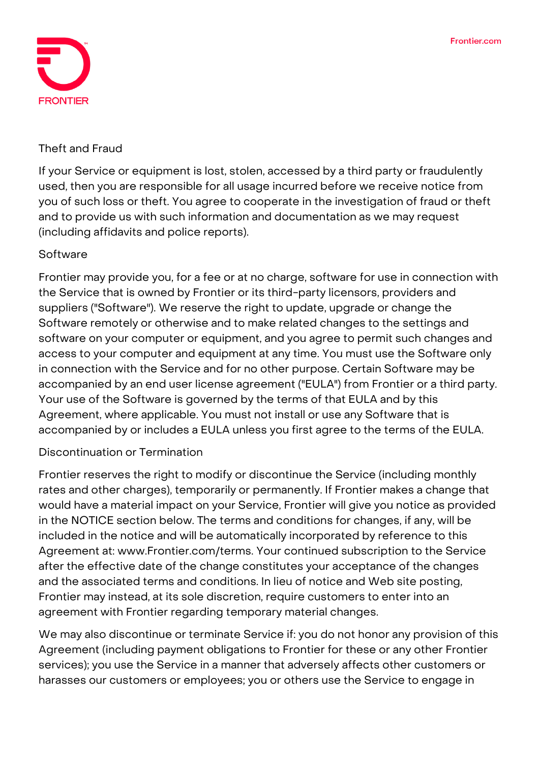

#### **Theft and Fraud**

If your Service or equipment is lost, stolen, accessed by a third party or fraudulently used, then you are responsible for all usage incurred before we receive notice from you of such loss or theft. You agree to cooperate in the investigation of fraud or theft and to provide us with such information and documentation as we may request (including affidavits and police reports).

#### **Software**

Frontier may provide you, for a fee or at no charge, software for use in connection with the Service that is owned by Frontier or its third-party licensors, providers and suppliers ("Software"). We reserve the right to update, upgrade or change the Software remotely or otherwise and to make related changes to the settings and software on your computer or equipment, and you agree to permit such changes and access to your computer and equipment at any time. You must use the Software only in connection with the Service and for no other purpose. Certain Software may be accompanied by an end user license agreement ("EULA") from Frontier or a third party. Your use of the Software is governed by the terms of that EULA and by this Agreement, where applicable. You must not install or use any Software that is accompanied by or includes a EULA unless you first agree to the terms of the EULA.

## **Discontinuation or Termination**

Frontier reserves the right to modify or discontinue the Service (including monthly rates and other charges), temporarily or permanently. If Frontier makes a change that would have a material impact on your Service, Frontier will give you notice as provided in the NOTICE section below. The terms and conditions for changes, if any, will be included in the notice and will be automatically incorporated by reference to this Agreement at: www.Frontier.com/terms. Your continued subscription to the Service after the effective date of the change constitutes your acceptance of the changes and the associated terms and conditions. In lieu of notice and Web site posting, Frontier may instead, at its sole discretion, require customers to enter into an agreement with Frontier regarding temporary material changes.

We may also discontinue or terminate Service if: you do not honor any provision of this Agreement (including payment obligations to Frontier for these or any other Frontier services); you use the Service in a manner that adversely affects other customers or harasses our customers or employees; you or others use the Service to engage in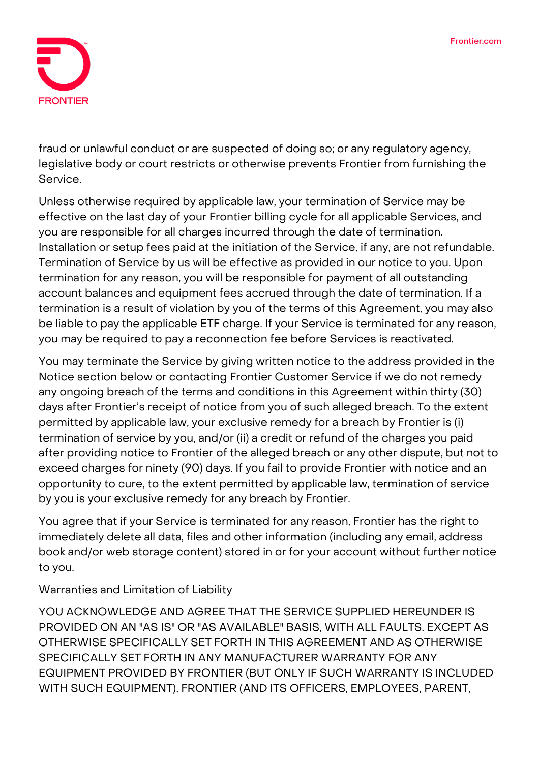

fraud or unlawful conduct or are suspected of doing so; or any regulatory agency, legislative body or court restricts or otherwise prevents Frontier from furnishing the Service.

Unless otherwise required by applicable law, your termination of Service may be effective on the last day of your Frontier billing cycle for all applicable Services, and you are responsible for all charges incurred through the date of termination. Installation or setup fees paid at the initiation of the Service, if any, are not refundable. Termination of Service by us will be effective as provided in our notice to you. Upon termination for any reason, you will be responsible for payment of all outstanding account balances and equipment fees accrued through the date of termination. If a termination is a result of violation by you of the terms of this Agreement, you may also be liable to pay the applicable ETF charge. If your Service is terminated for any reason, you may be required to pay a reconnection fee before Services is reactivated.

You may terminate the Service by giving written notice to the address provided in the Notice section below or contacting Frontier Customer Service if we do not remedy any ongoing breach of the terms and conditions in this Agreement within thirty (30) days after Frontier's receipt of notice from you of such alleged breach. **To the extent permitted by applicable law, your exclusive remedy for a breach by Frontier is (i) termination of service by you, and/or (ii) a credit or refund of the charges you paid after providing notice to Frontier of the alleged breach or any other dispute, but not to exceed charges for ninety (90) days. If you fail to provide Frontier with notice and an opportunity to cure, to the extent permitted by applicable law, termination of service by you is your exclusive remedy for any breach by Frontier.**

You agree that if your Service is terminated for any reason, Frontier has the right to immediately delete all data, files and other information (including any email, address book and/or web storage content) stored in or for your account without further notice to you.

**Warranties and Limitation of Liability**

**YOU ACKNOWLEDGE AND AGREE THAT THE SERVICE SUPPLIED HEREUNDER IS PROVIDED ON AN "AS IS" OR "AS AVAILABLE" BASIS, WITH ALL FAULTS. EXCEPT AS OTHERWISE SPECIFICALLY SET FORTH IN THIS AGREEMENT AND AS OTHERWISE SPECIFICALLY SET FORTH IN ANY MANUFACTURER WARRANTY FOR ANY EQUIPMENT PROVIDED BY FRONTIER (BUT ONLY IF SUCH WARRANTY IS INCLUDED WITH SUCH EQUIPMENT), FRONTIER (AND ITS OFFICERS, EMPLOYEES, PARENT,**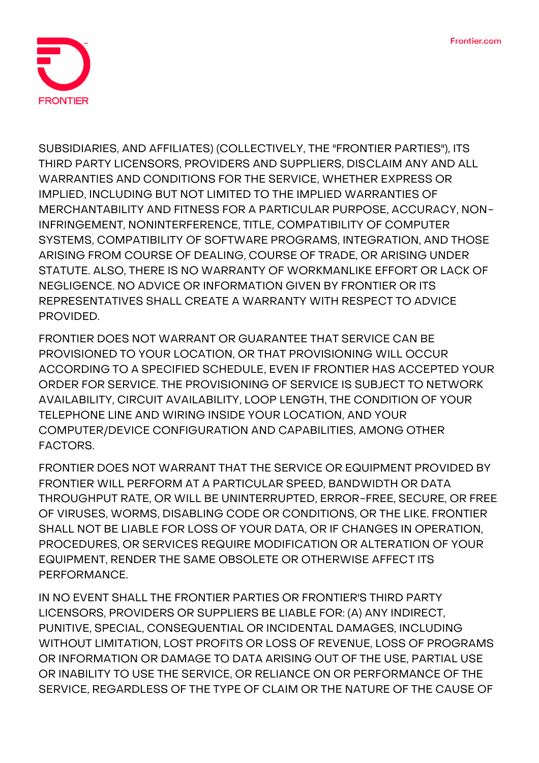

**SUBSIDIARIES, AND AFFILIATES) (COLLECTIVELY, THE "FRONTIER PARTIES"), ITS THIRD PARTY LICENSORS, PROVIDERS AND SUPPLIERS, DISCLAIM ANY AND ALL WARRANTIES AND CONDITIONS FOR THE SERVICE, WHETHER EXPRESS OR IMPLIED, INCLUDING BUT NOT LIMITED TO THE IMPLIED WARRANTIES OF MERCHANTABILITY AND FITNESS FOR A PARTICULAR PURPOSE, ACCURACY, NON-INFRINGEMENT, NONINTERFERENCE, TITLE, COMPATIBILITY OF COMPUTER SYSTEMS, COMPATIBILITY OF SOFTWARE PROGRAMS, INTEGRATION, AND THOSE ARISING FROM COURSE OF DEALING, COURSE OF TRADE, OR ARISING UNDER STATUTE. ALSO, THERE IS NO WARRANTY OF WORKMANLIKE EFFORT OR LACK OF NEGLIGENCE. NO ADVICE OR INFORMATION GIVEN BY FRONTIER OR ITS REPRESENTATIVES SHALL CREATE A WARRANTY WITH RESPECT TO ADVICE PROVIDED.**

**FRONTIER DOES NOT WARRANT OR GUARANTEE THAT SERVICE CAN BE PROVISIONED TO YOUR LOCATION, OR THAT PROVISIONING WILL OCCUR ACCORDING TO A SPECIFIED SCHEDULE, EVEN IF FRONTIER HAS ACCEPTED YOUR ORDER FOR SERVICE. THE PROVISIONING OF SERVICE IS SUBJECT TO NETWORK AVAILABILITY, CIRCUIT AVAILABILITY, LOOP LENGTH, THE CONDITION OF YOUR TELEPHONE LINE AND WIRING INSIDE YOUR LOCATION, AND YOUR COMPUTER/DEVICE CONFIGURATION AND CAPABILITIES, AMONG OTHER FACTORS.**

**FRONTIER DOES NOT WARRANT THAT THE SERVICE OR EQUIPMENT PROVIDED BY FRONTIER WILL PERFORM AT A PARTICULAR SPEED, BANDWIDTH OR DATA THROUGHPUT RATE, OR WILL BE UNINTERRUPTED, ERROR-FREE, SECURE, OR FREE OF VIRUSES, WORMS, DISABLING CODE OR CONDITIONS, OR THE LIKE. FRONTIER SHALL NOT BE LIABLE FOR LOSS OF YOUR DATA, OR IF CHANGES IN OPERATION, PROCEDURES, OR SERVICES REQUIRE MODIFICATION OR ALTERATION OF YOUR EQUIPMENT, RENDER THE SAME OBSOLETE OR OTHERWISE AFFECT ITS PERFORMANCE.**

**IN NO EVENT SHALL THE FRONTIER PARTIES OR FRONTIER'S THIRD PARTY LICENSORS, PROVIDERS OR SUPPLIERS BE LIABLE FOR: (A) ANY INDIRECT, PUNITIVE, SPECIAL, CONSEQUENTIAL OR INCIDENTAL DAMAGES, INCLUDING WITHOUT LIMITATION, LOST PROFITS OR LOSS OF REVENUE, LOSS OF PROGRAMS OR INFORMATION OR DAMAGE TO DATA ARISING OUT OF THE USE, PARTIAL USE OR INABILITY TO USE THE SERVICE, OR RELIANCE ON OR PERFORMANCE OF THE SERVICE, REGARDLESS OF THE TYPE OF CLAIM OR THE NATURE OF THE CAUSE OF**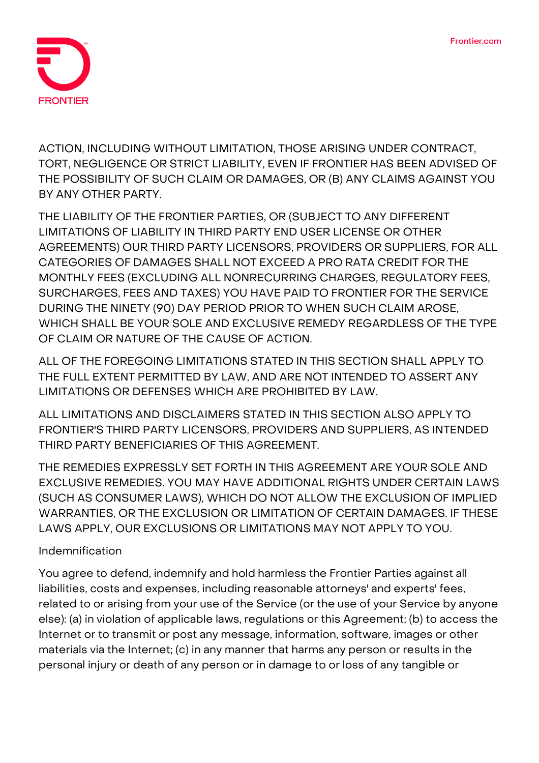

**ACTION, INCLUDING WITHOUT LIMITATION, THOSE ARISING UNDER CONTRACT, TORT, NEGLIGENCE OR STRICT LIABILITY, EVEN IF FRONTIER HAS BEEN ADVISED OF THE POSSIBILITY OF SUCH CLAIM OR DAMAGES, OR (B) ANY CLAIMS AGAINST YOU BY ANY OTHER PARTY.**

**THE LIABILITY OF THE FRONTIER PARTIES, OR (SUBJECT TO ANY DIFFERENT LIMITATIONS OF LIABILITY IN THIRD PARTY END USER LICENSE OR OTHER AGREEMENTS) OUR THIRD PARTY LICENSORS, PROVIDERS OR SUPPLIERS, FOR ALL CATEGORIES OF DAMAGES SHALL NOT EXCEED A PRO RATA CREDIT FOR THE MONTHLY FEES (EXCLUDING ALL NONRECURRING CHARGES, REGULATORY FEES, SURCHARGES, FEES AND TAXES) YOU HAVE PAID TO FRONTIER FOR THE SERVICE DURING THE NINETY (90) DAY PERIOD PRIOR TO WHEN SUCH CLAIM AROSE, WHICH SHALL BE YOUR SOLE AND EXCLUSIVE REMEDY REGARDLESS OF THE TYPE OF CLAIM OR NATURE OF THE CAUSE OF ACTION.**

**ALL OF THE FOREGOING LIMITATIONS STATED IN THIS SECTION SHALL APPLY TO THE FULL EXTENT PERMITTED BY LAW, AND ARE NOT INTENDED TO ASSERT ANY LIMITATIONS OR DEFENSES WHICH ARE PROHIBITED BY LAW.**

**ALL LIMITATIONS AND DISCLAIMERS STATED IN THIS SECTION ALSO APPLY TO FRONTIER'S THIRD PARTY LICENSORS, PROVIDERS AND SUPPLIERS, AS INTENDED THIRD PARTY BENEFICIARIES OF THIS AGREEMENT.**

**THE REMEDIES EXPRESSLY SET FORTH IN THIS AGREEMENT ARE YOUR SOLE AND EXCLUSIVE REMEDIES. YOU MAY HAVE ADDITIONAL RIGHTS UNDER CERTAIN LAWS (SUCH AS CONSUMER LAWS), WHICH DO NOT ALLOW THE EXCLUSION OF IMPLIED WARRANTIES, OR THE EXCLUSION OR LIMITATION OF CERTAIN DAMAGES. IF THESE LAWS APPLY, OUR EXCLUSIONS OR LIMITATIONS MAY NOT APPLY TO YOU.**

## **Indemnification**

You agree to defend, indemnify and hold harmless the Frontier Parties against all liabilities, costs and expenses, including reasonable attorneys' and experts' fees, related to or arising from your use of the Service (or the use of your Service by anyone else): (a) in violation of applicable laws, regulations or this Agreement; (b) to access the Internet or to transmit or post any message, information, software, images or other materials via the Internet; (c) in any manner that harms any person or results in the personal injury or death of any person or in damage to or loss of any tangible or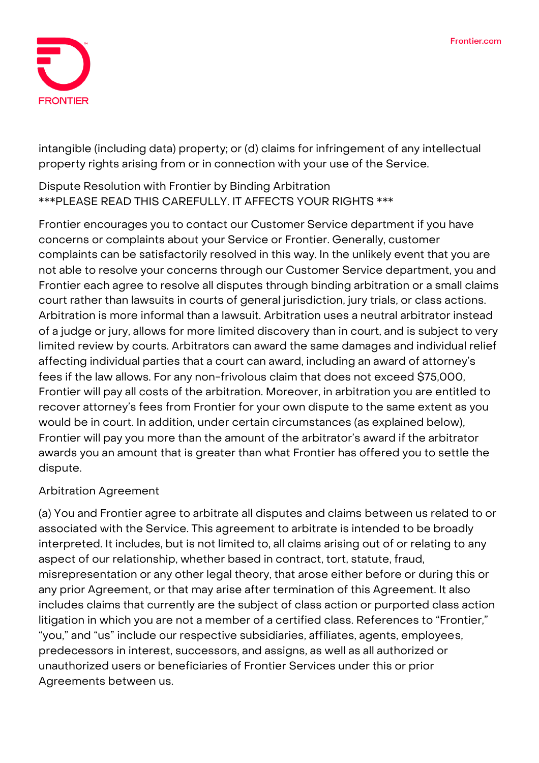

intangible (including data) property; or (d) claims for infringement of any intellectual property rights arising from or in connection with your use of the Service.

# **Dispute Resolution with Frontier by Binding Arbitration \*\*\*PLEASE READ THIS CAREFULLY. IT AFFECTS YOUR RIGHTS \*\*\***

Frontier encourages you to contact our Customer Service department if you have concerns or complaints about your Service or Frontier. Generally, customer complaints can be satisfactorily resolved in this way. In the unlikely event that you are not able to resolve your concerns through our Customer Service department, you and Frontier each agree to resolve all disputes through binding arbitration or a small claims court rather than lawsuits in courts of general jurisdiction, jury trials, or class actions. Arbitration is more informal than a lawsuit. Arbitration uses a neutral arbitrator instead of a judge or jury, allows for more limited discovery than in court, and is subject to very limited review by courts. Arbitrators can award the same damages and individual relief affecting individual parties that a court can award, including an award of attorney's fees if the law allows. For any non-frivolous claim that does not exceed \$75,000, Frontier will pay all costs of the arbitration. Moreover, in arbitration you are entitled to recover attorney's fees from Frontier for your own dispute to the same extent as you would be in court. In addition, under certain circumstances (as explained below), Frontier will pay you more than the amount of the arbitrator's award if the arbitrator awards you an amount that is greater than what Frontier has offered you to settle the dispute.

## **Arbitration Agreement**

(a) You and Frontier agree to arbitrate **all disputes and claims** between us related to or associated with the Service. This agreement to arbitrate is intended to be broadly interpreted. It includes, but is not limited to, all claims arising out of or relating to any aspect of our relationship, whether based in contract, tort, statute, fraud, misrepresentation or any other legal theory, that arose either before or during this or any prior Agreement, or that may arise after termination of this Agreement. It also includes claims that currently are the subject of class action or purported class action litigation in which you are not a member of a certified class. References to "Frontier," "you," and "us" include our respective subsidiaries, affiliates, agents, employees, predecessors in interest, successors, and assigns, as well as all authorized or unauthorized users or beneficiaries of Frontier Services under this or prior Agreements between us.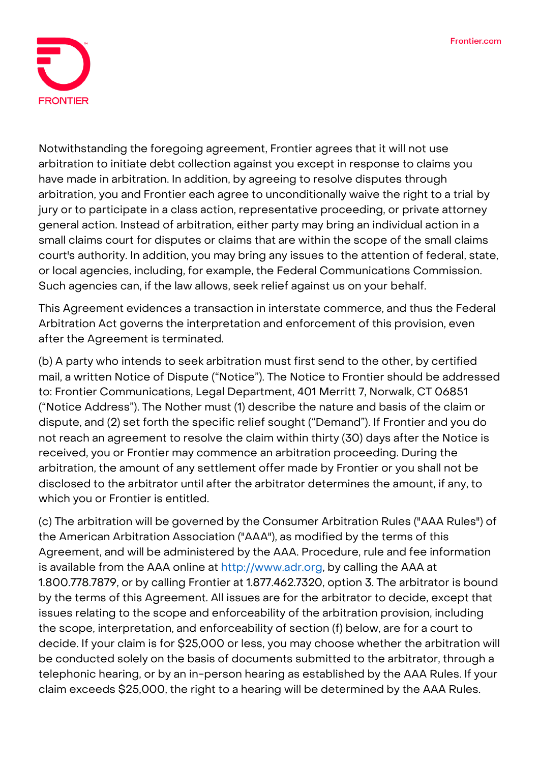

Notwithstanding the foregoing agreement, Frontier agrees that it will not use arbitration to initiate debt collection against you except in response to claims you have made in arbitration. In addition, by agreeing to resolve disputes through arbitration, **you and Frontier each agree to unconditionally waive the right to a trial by jury or to participate in a class action, representative proceeding, or private attorney general action.** Instead of arbitration, either party may bring an individual action in a small claims court for disputes or claims that are within the scope of the small claims court's authority. In addition, you may bring any issues to the attention of federal, state, or local agencies, including, for example, the Federal Communications Commission. Such agencies can, if the law allows, seek relief against us on your behalf.

This Agreement evidences a transaction in interstate commerce, and thus the Federal Arbitration Act governs the interpretation and enforcement of this provision, even after the Agreement is terminated.

(b) A party who intends to seek arbitration must first send to the other, by certified mail, a written Notice of Dispute ("Notice"). The Notice to Frontier should be addressed to: Frontier Communications, Legal Department, 401 Merritt 7, Norwalk, CT 06851 ("Notice Address"). The Nother must (1) describe the nature and basis of the claim or dispute, and (2) set forth the specific relief sought ("Demand"). If Frontier and you do not reach an agreement to resolve the claim within thirty (30) days after the Notice is received, you or Frontier may commence an arbitration proceeding. During the arbitration, the amount of any settlement offer made by Frontier or you shall not be disclosed to the arbitrator until after the arbitrator determines the amount, if any, to which you or Frontier is entitled.

(c) The arbitration will be governed by the Consumer Arbitration Rules ("AAA Rules") of the American Arbitration Association ("AAA"), as modified by the terms of this Agreement, and will be administered by the AAA. Procedure, rule and fee information is available from the AAA online at [http://www.adr.org,](http://www.adr.org/) by calling the AAA at 1.800.778.7879, or by calling Frontier at 1.877.462.7320, option 3. The arbitrator is bound by the terms of this Agreement. All issues are for the arbitrator to decide, except that issues relating to the scope and enforceability of the arbitration provision, including the scope, interpretation, and enforceability of section (f) below, are for a court to decide. If your claim is for \$25,000 or less, you may choose whether the arbitration will be conducted solely on the basis of documents submitted to the arbitrator, through a telephonic hearing, or by an in-person hearing as established by the AAA Rules. If your claim exceeds \$25,000, the right to a hearing will be determined by the AAA Rules.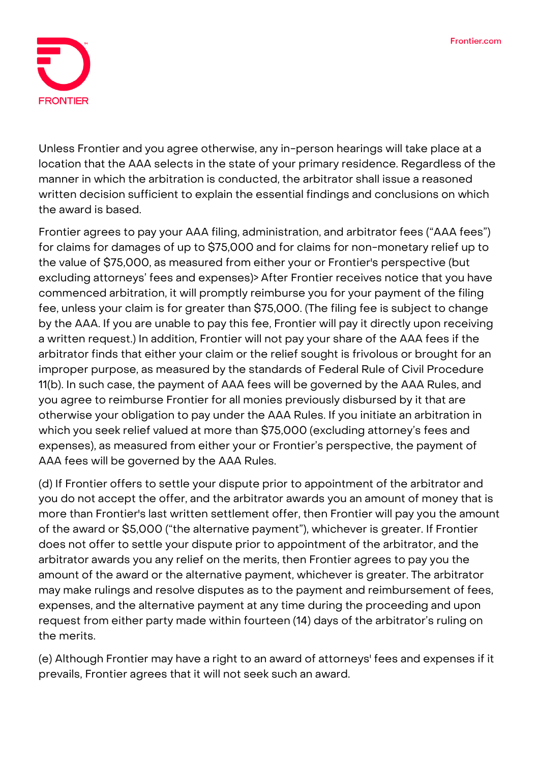

Unless Frontier and you agree otherwise, any in-person hearings will take place at a location that the AAA selects in the state of your primary residence. Regardless of the manner in which the arbitration is conducted, the arbitrator shall issue a reasoned written decision sufficient to explain the essential findings and conclusions on which the award is based.

Frontier agrees to pay your AAA filing, administration, and arbitrator fees ("AAA fees") for claims for damages of up to \$75,000 and for claims for non-monetary relief up to the value of \$75,000, as measured from either your or Frontier's perspective (but excluding attorneys' fees and expenses)> After Frontier receives notice that you have commenced arbitration, it will promptly reimburse you for your payment of the filing fee, unless your claim is for greater than \$75,000. (The filing fee is subject to change by the AAA. If you are unable to pay this fee, Frontier will pay it directly upon receiving a written request.) In addition, Frontier will not pay your share of the AAA fees if the arbitrator finds that either your claim or the relief sought is frivolous or brought for an improper purpose, as measured by the standards of Federal Rule of Civil Procedure 11(b). In such case, the payment of AAA fees will be governed by the AAA Rules, and you agree to reimburse Frontier for all monies previously disbursed by it that are otherwise your obligation to pay under the AAA Rules. If you initiate an arbitration in which you seek relief valued at more than \$75,000 (excluding attorney's fees and expenses), as measured from either your or Frontier's perspective, the payment of AAA fees will be governed by the AAA Rules.

(d) If Frontier offers to settle your dispute prior to appointment of the arbitrator and you do not accept the offer, and the arbitrator awards you an amount of money that is more than Frontier's last written settlement offer, then Frontier will pay you the amount of the award or \$5,000 ("the alternative payment"), whichever is greater. If Frontier does not offer to settle your dispute prior to appointment of the arbitrator, and the arbitrator awards you any relief on the merits, then Frontier agrees to pay you the amount of the award or the alternative payment, whichever is greater. The arbitrator may make rulings and resolve disputes as to the payment and reimbursement of fees, expenses, and the alternative payment at any time during the proceeding and upon request from either party made within fourteen (14) days of the arbitrator's ruling on the merits.

(e) Although Frontier may have a right to an award of attorneys' fees and expenses if it prevails, Frontier agrees that it will not seek such an award.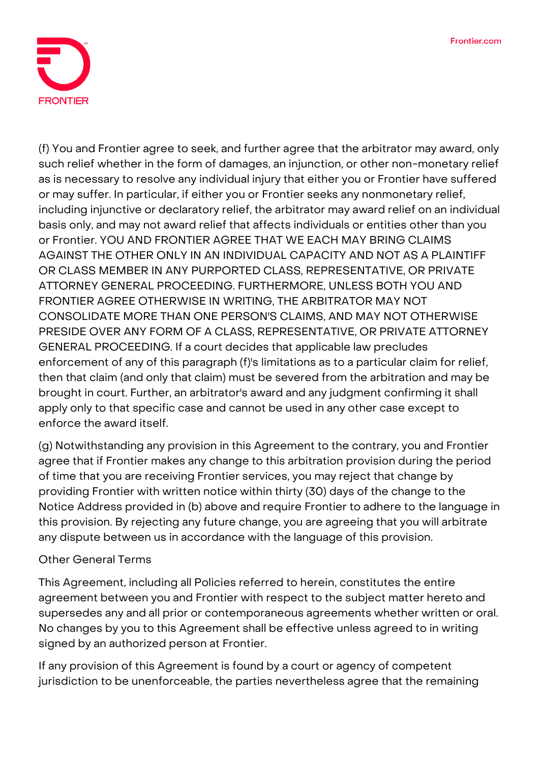

(f) You and Frontier agree to seek, and further agree that the arbitrator may award, only such relief whether in the form of damages, an injunction, or other non-monetary relief as is necessary to resolve any individual injury that either you or Frontier have suffered or may suffer. In particular, if either you or Frontier seeks any nonmonetary relief, including injunctive or declaratory relief, the arbitrator may award relief on an individual basis only, and may not award relief that affects individuals or entities other than you or Frontier. YOU AND FRONTIER AGREE THAT WE EACH MAY BRING CLAIMS AGAINST THE OTHER ONLY IN AN INDIVIDUAL CAPACITY AND NOT AS A PLAINTIFF OR CLASS MEMBER IN ANY PURPORTED CLASS, REPRESENTATIVE, OR PRIVATE ATTORNEY GENERAL PROCEEDING. FURTHERMORE, UNLESS BOTH YOU AND FRONTIER AGREE OTHERWISE IN WRITING, THE ARBITRATOR MAY NOT CONSOLIDATE MORE THAN ONE PERSON'S CLAIMS, AND MAY NOT OTHERWISE PRESIDE OVER ANY FORM OF A CLASS, REPRESENTATIVE, OR PRIVATE ATTORNEY GENERAL PROCEEDING. If a court decides that applicable law precludes enforcement of any of this paragraph (f)'s limitations as to a particular claim for relief, then that claim (and only that claim) must be severed from the arbitration and may be brought in court. Further, an arbitrator's award and any judgment confirming it shall apply only to that specific case and cannot be used in any other case except to enforce the award itself.

(g) Notwithstanding any provision in this Agreement to the contrary, you and Frontier agree that if Frontier makes any change to this arbitration provision during the period of time that you are receiving Frontier services, you may reject that change by providing Frontier with written notice within thirty (30) days of the change to the Notice Address provided in (b) above and require Frontier to adhere to the language in this provision. By rejecting any future change, you are agreeing that you will arbitrate any dispute between us in accordance with the language of this provision.

## **Other General Terms**

This Agreement, including all Policies referred to herein, constitutes the entire agreement between you and Frontier with respect to the subject matter hereto and supersedes any and all prior or contemporaneous agreements whether written or oral. No changes by you to this Agreement shall be effective unless agreed to in writing signed by an authorized person at Frontier.

If any provision of this Agreement is found by a court or agency of competent jurisdiction to be unenforceable, the parties nevertheless agree that the remaining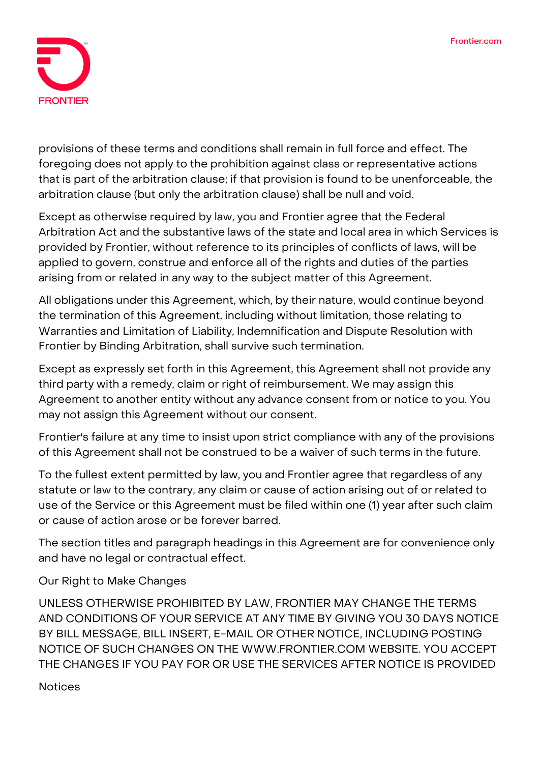

provisions of these terms and conditions shall remain in full force and effect. The foregoing does not apply to the prohibition against class or representative actions that is part of the arbitration clause; if that provision is found to be unenforceable, the arbitration clause (but only the arbitration clause) shall be null and void.

Except as otherwise required by law, you and Frontier agree that the Federal Arbitration Act and the substantive laws of the state and local area in which Services is provided by Frontier, without reference to its principles of conflicts of laws, will be applied to govern, construe and enforce all of the rights and duties of the parties arising from or related in any way to the subject matter of this Agreement.

All obligations under this Agreement, which, by their nature, would continue beyond the termination of this Agreement, including without limitation, those relating to Warranties and Limitation of Liability, Indemnification and Dispute Resolution with Frontier by Binding Arbitration, shall survive such termination.

Except as expressly set forth in this Agreement, this Agreement shall not provide any third party with a remedy, claim or right of reimbursement. We may assign this Agreement to another entity without any advance consent from or notice to you. You may not assign this Agreement without our consent.

Frontier's failure at any time to insist upon strict compliance with any of the provisions of this Agreement shall not be construed to be a waiver of such terms in the future.

To the fullest extent permitted by law, you and Frontier agree that regardless of any statute or law to the contrary, any claim or cause of action arising out of or related to use of the Service or this Agreement must be filed within one (1) year after such claim or cause of action arose or be forever barred.

The section titles and paragraph headings in this Agreement are for convenience only and have no legal or contractual effect.

## **Our Right to Make Changes**

UNLESS OTHERWISE PROHIBITED BY LAW, FRONTIER MAY CHANGE THE TERMS AND CONDITIONS OF YOUR SERVICE AT ANY TIME BY GIVING YOU 30 DAYS NOTICE BY BILL MESSAGE, BILL INSERT, E-MAIL OR OTHER NOTICE, INCLUDING POSTING NOTICE OF SUCH CHANGES ON THE WWW.FRONTIER.COM WEBSITE. YOU ACCEPT THE CHANGES IF YOU PAY FOR OR USE THE SERVICES AFTER NOTICE IS PROVIDED

## **Notices**